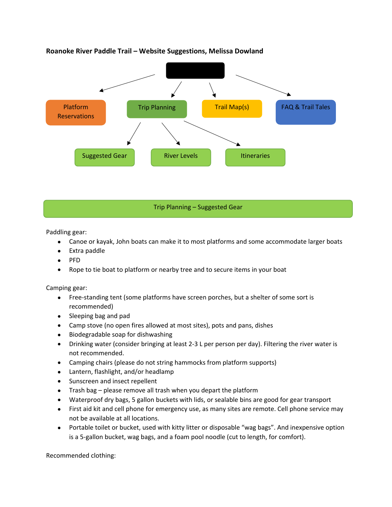

**Roanoke River Paddle Trail – Website Suggestions, Melissa Dowland**

Trip Planning – Suggested Gear

Paddling gear:

- Canoe or kayak, John boats can make it to most platforms and some accommodate larger boats
- Extra paddle
- PFD
- Rope to tie boat to platform or nearby tree and to secure items in your boat

Camping gear:

- Free-standing tent (some platforms have screen porches, but a shelter of some sort is recommended)
- Sleeping bag and pad
- Camp stove (no open fires allowed at most sites), pots and pans, dishes
- Biodegradable soap for dishwashing
- Drinking water (consider bringing at least 2-3 L per person per day). Filtering the river water is not recommended.
- Camping chairs (please do not string hammocks from platform supports)
- Lantern, flashlight, and/or headlamp
- Sunscreen and insect repellent
- Trash bag please remove all trash when you depart the platform
- Waterproof dry bags, 5 gallon buckets with lids, or sealable bins are good for gear transport
- First aid kit and cell phone for emergency use, as many sites are remote. Cell phone service may not be available at all locations.
- Portable toilet or bucket, used with kitty litter or disposable "wag bags". And inexpensive option is a 5-gallon bucket, wag bags, and a foam pool noodle (cut to length, for comfort).

Recommended clothing: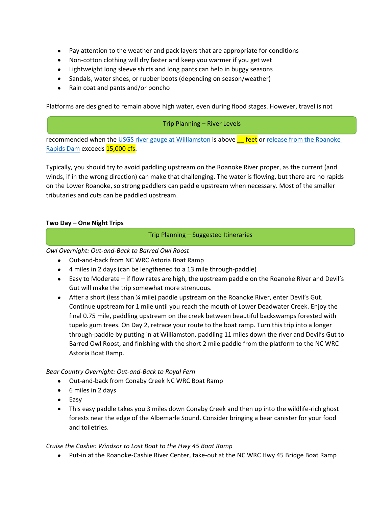- Pay attention to the weather and pack layers that are appropriate for conditions
- Non-cotton clothing will dry faster and keep you warmer if you get wet
- Lightweight long sleeve shirts and long pants can help in buggy seasons
- Sandals, water shoes, or rubber boots (depending on season/weather)
- Rain coat and pants and/or poncho

Platforms are designed to remain above high water, even during flood stages. However, travel is not

#### Trip Planning – River Levels

recommended when the USGS river gauge at Williamston is above **Figure 1** feet or release from the Roanoke Rapids Dam exceeds 15,000 cfs.

Typically, you should try to avoid paddling upstream on the Roanoke River proper, as the current (and winds, if in the wrong direction) can make that challenging. The water is flowing, but there are no rapids on the Lower Roanoke, so strong paddlers can paddle upstream when necessary. Most of the smaller tributaries and cuts can be paddled upstream.

#### **Two Day – One Night Trips**

#### Trip Planning – Suggested Itineraries

*Owl Overnight: Out-and-Back to Barred Owl Roost*

- Out-and-back from NC WRC Astoria Boat Ramp
- 4 miles in 2 days (can be lengthened to a 13 mile through-paddle)
- Easy to Moderate if flow rates are high, the upstream paddle on the Roanoke River and Devil's Gut will make the trip somewhat more strenuous.
- After a short (less than ¼ mile) paddle upstream on the Roanoke River, enter Devil's Gut. Continue upstream for 1 mile until you reach the mouth of Lower Deadwater Creek. Enjoy the final 0.75 mile, paddling upstream on the creek between beautiful backswamps forested with tupelo gum trees. On Day 2, retrace your route to the boat ramp. Turn this trip into a longer through-paddle by putting in at Williamston, paddling 11 miles down the river and Devil's Gut to Barred Owl Roost, and finishing with the short 2 mile paddle from the platform to the NC WRC Astoria Boat Ramp.

# *Bear Country Overnight: Out-and-Back to Royal Fern*

- Out-and-back from Conaby Creek NC WRC Boat Ramp
- 6 miles in 2 days
- Easy
- This easy paddle takes you 3 miles down Conaby Creek and then up into the wildlife-rich ghost forests near the edge of the Albemarle Sound. Consider bringing a bear canister for your food and toiletries.

# *Cruise the Cashie: Windsor to Lost Boat to the Hwy 45 Boat Ramp*

• Put-in at the Roanoke-Cashie River Center, take-out at the NC WRC Hwy 45 Bridge Boat Ramp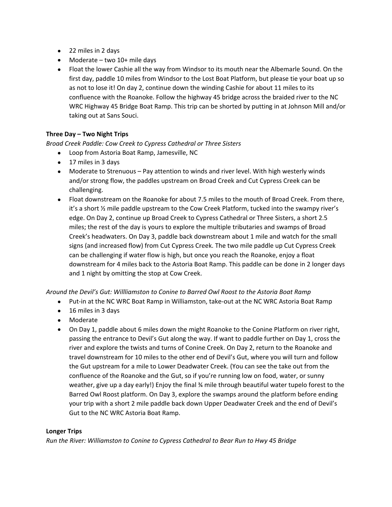- 22 miles in 2 days
- Moderate two 10+ mile days
- Float the lower Cashie all the way from Windsor to its mouth near the Albemarle Sound. On the first day, paddle 10 miles from Windsor to the Lost Boat Platform, but please tie your boat up so as not to lose it! On day 2, continue down the winding Cashie for about 11 miles to its confluence with the Roanoke. Follow the highway 45 bridge across the braided river to the NC WRC Highway 45 Bridge Boat Ramp. This trip can be shorted by putting in at Johnson Mill and/or taking out at Sans Souci.

# **Three Day – Two Night Trips**

# *Broad Creek Paddle: Cow Creek to Cypress Cathedral or Three Sisters*

- Loop from Astoria Boat Ramp, Jamesville, NC
- 17 miles in 3 days
- Moderate to Strenuous Pay attention to winds and river level. With high westerly winds and/or strong flow, the paddles upstream on Broad Creek and Cut Cypress Creek can be challenging.
- Float downstream on the Roanoke for about 7.5 miles to the mouth of Broad Creek. From there, it's a short ½ mile paddle upstream to the Cow Creek Platform, tucked into the swampy river's edge. On Day 2, continue up Broad Creek to Cypress Cathedral or Three Sisters, a short 2.5 miles; the rest of the day is yours to explore the multiple tributaries and swamps of Broad Creek's headwaters. On Day 3, paddle back downstream about 1 mile and watch for the small signs (and increased flow) from Cut Cypress Creek. The two mile paddle up Cut Cypress Creek can be challenging if water flow is high, but once you reach the Roanoke, enjoy a float downstream for 4 miles back to the Astoria Boat Ramp. This paddle can be done in 2 longer days and 1 night by omitting the stop at Cow Creek.

# *Around the Devil's Gut: Willliamston to Conine to Barred Owl Roost to the Astoria Boat Ramp*

- Put-in at the NC WRC Boat Ramp in Williamston, take-out at the NC WRC Astoria Boat Ramp
- 16 miles in 3 days
- Moderate
- On Day 1, paddle about 6 miles down the might Roanoke to the Conine Platform on river right, passing the entrance to Devil's Gut along the way. If want to paddle further on Day 1, cross the river and explore the twists and turns of Conine Creek. On Day 2, return to the Roanoke and travel downstream for 10 miles to the other end of Devil's Gut, where you will turn and follow the Gut upstream for a mile to Lower Deadwater Creek. (You can see the take out from the confluence of the Roanoke and the Gut, so if you're running low on food, water, or sunny weather, give up a day early!) Enjoy the final ¾ mile through beautiful water tupelo forest to the Barred Owl Roost platform. On Day 3, explore the swamps around the platform before ending your trip with a short 2 mile paddle back down Upper Deadwater Creek and the end of Devil's Gut to the NC WRC Astoria Boat Ramp.

#### **Longer Trips**

*Run the River: Williamston to Conine to Cypress Cathedral to Bear Run to Hwy 45 Bridge*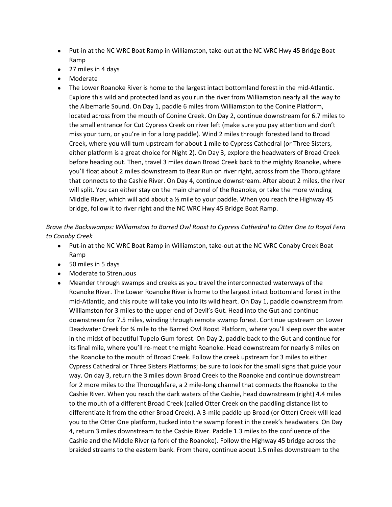- Put-in at the NC WRC Boat Ramp in Williamston, take-out at the NC WRC Hwy 45 Bridge Boat Ramp
- 27 miles in 4 days
- Moderate
- The Lower Roanoke River is home to the largest intact bottomland forest in the mid-Atlantic. Explore this wild and protected land as you run the river from Williamston nearly all the way to the Albemarle Sound. On Day 1, paddle 6 miles from Williamston to the Conine Platform, located across from the mouth of Conine Creek. On Day 2, continue downstream for 6.7 miles to the small entrance for Cut Cypress Creek on river left (make sure you pay attention and don't miss your turn, or you're in for a long paddle). Wind 2 miles through forested land to Broad Creek, where you will turn upstream for about 1 mile to Cypress Cathedral (or Three Sisters, either platform is a great choice for Night 2). On Day 3, explore the headwaters of Broad Creek before heading out. Then, travel 3 miles down Broad Creek back to the mighty Roanoke, where you'll float about 2 miles downstream to Bear Run on river right, across from the Thoroughfare that connects to the Cashie River. On Day 4, continue downstream. After about 2 miles, the river will split. You can either stay on the main channel of the Roanoke, or take the more winding Middle River, which will add about a  $\frac{1}{2}$  mile to your paddle. When you reach the Highway 45 bridge, follow it to river right and the NC WRC Hwy 45 Bridge Boat Ramp.

*Brave the Backswamps: Williamston to Barred Owl Roost to Cypress Cathedral to Otter One to Royal Fern to Conaby Creek*

- Put-in at the NC WRC Boat Ramp in Williamston, take-out at the NC WRC Conaby Creek Boat Ramp
- 50 miles in 5 days
- Moderate to Strenuous
- Meander through swamps and creeks as you travel the interconnected waterways of the Roanoke River. The Lower Roanoke River is home to the largest intact bottomland forest in the mid-Atlantic, and this route will take you into its wild heart. On Day 1, paddle downstream from Williamston for 3 miles to the upper end of Devil's Gut. Head into the Gut and continue downstream for 7.5 miles, winding through remote swamp forest. Continue upstream on Lower Deadwater Creek for ¾ mile to the Barred Owl Roost Platform, where you'll sleep over the water in the midst of beautiful Tupelo Gum forest. On Day 2, paddle back to the Gut and continue for its final mile, where you'll re-meet the might Roanoke. Head downstream for nearly 8 miles on the Roanoke to the mouth of Broad Creek. Follow the creek upstream for 3 miles to either Cypress Cathedral or Three Sisters Platforms; be sure to look for the small signs that guide your way. On day 3, return the 3 miles down Broad Creek to the Roanoke and continue downstream for 2 more miles to the Thoroughfare, a 2 mile-long channel that connects the Roanoke to the Cashie River. When you reach the dark waters of the Cashie, head downstream (right) 4.4 miles to the mouth of a different Broad Creek (called Otter Creek on the paddling distance list to differentiate it from the other Broad Creek). A 3-mile paddle up Broad (or Otter) Creek will lead you to the Otter One platform, tucked into the swamp forest in the creek's headwaters. On Day 4, return 3 miles downstream to the Cashie River. Paddle 1.3 miles to the confluence of the Cashie and the Middle River (a fork of the Roanoke). Follow the Highway 45 bridge across the braided streams to the eastern bank. From there, continue about 1.5 miles downstream to the